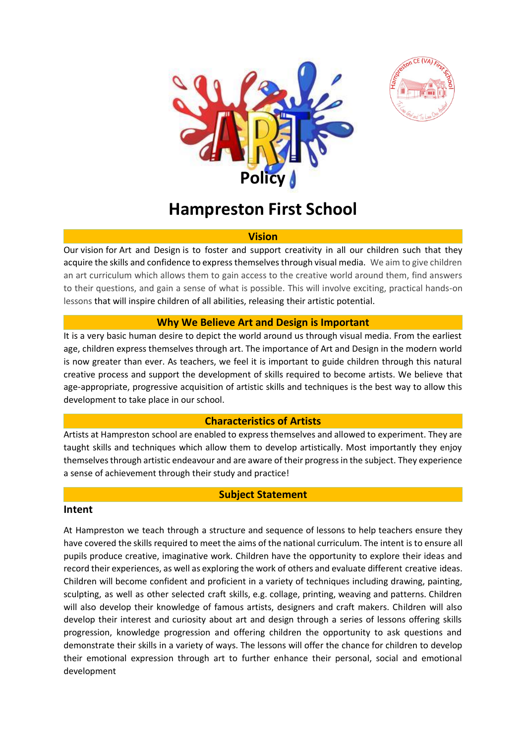



# **Hampreston First School**

#### **Vision**

Our vision for Art and Design is to foster and support creativity in all our children such that they acquire the skills and confidence to express themselves through visual media. We aim to give children an art curriculum which allows them to gain access to the creative world around them, find answers to their questions, and gain a sense of what is possible. This will involve exciting, practical hands-on lessons that will inspire children of all abilities, releasing their artistic potential.

#### **Why We Believe Art and Design is Important**

It is a very basic human desire to depict the world around us through visual media. From the earliest age, children express themselves through art. The importance of Art and Design in the modern world is now greater than ever. As teachers, we feel it is important to guide children through this natural creative process and support the development of skills required to become artists. We believe that age-appropriate, progressive acquisition of artistic skills and techniques is the best way to allow this development to take place in our school.

#### **Characteristics of Artists**

Artists at Hampreston school are enabled to express themselves and allowed to experiment. They are taught skills and techniques which allow them to develop artistically. Most importantly they enjoy themselves through artistic endeavour and are aware of their progress in the subject. They experience a sense of achievement through their study and practice!

#### **Subject Statement**

#### **Intent**

At Hampreston we teach through a structure and sequence of lessons to help teachers ensure they have covered the skills required to meet the aims of the national curriculum. The intent is to ensure all pupils produce creative, imaginative work. Children have the opportunity to explore their ideas and record their experiences, as well as exploring the work of others and evaluate different creative ideas. Children will become confident and proficient in a variety of techniques including drawing, painting, sculpting, as well as other selected craft skills, e.g. collage, printing, weaving and patterns. Children will also develop their knowledge of famous artists, designers and craft makers. Children will also develop their interest and curiosity about art and design through a series of lessons offering skills progression, knowledge progression and offering children the opportunity to ask questions and demonstrate their skills in a variety of ways. The lessons will offer the chance for children to develop their emotional expression through art to further enhance their personal, social and emotional development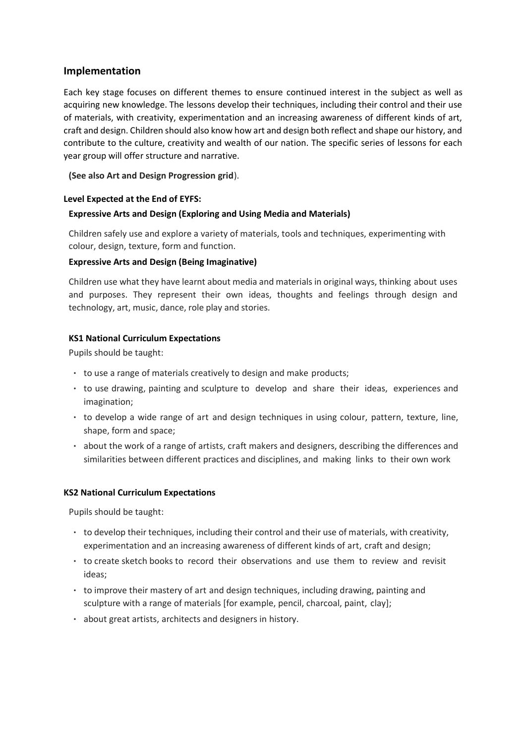## **Implementation**

Each key stage focuses on different themes to ensure continued interest in the subject as well as acquiring new knowledge. The lessons develop their techniques, including their control and their use of materials, with creativity, experimentation and an increasing awareness of different kinds of art, craft and design. Children should also know how art and design both reflect and shape our history, and contribute to the culture, creativity and wealth of our nation. The specific series of lessons for each year group will offer structure and narrative.

**(See also Art and Design Progression grid**).

#### **Level Expected at the End of EYFS:**

#### **Expressive Arts and Design (Exploring and Using Media and Materials)**

Children safely use and explore a variety of materials, tools and techniques, experimenting with colour, design, texture, form and function.

#### **Expressive Arts and Design (Being Imaginative)**

Children use what they have learnt about media and materials in original ways, thinking about uses and purposes. They represent their own ideas, thoughts and feelings through design and technology, art, music, dance, role play and stories.

#### **KS1 National Curriculum Expectations**

Pupils should be taught:

- to use a range of materials creatively to design and make products;
- to use drawing, painting and sculpture to develop and share their ideas, experiences and imagination;
- to develop a wide range of art and design techniques in using colour, pattern, texture, line, shape, form and space;
- about the work of a range of artists, craft makers and designers, describing the differences and similarities between different practices and disciplines, and making links to their own work

#### **KS2 National Curriculum Expectations**

Pupils should be taught:

- to develop their techniques, including their control and their use of materials, with creativity, experimentation and an increasing awareness of different kinds of art, craft and design;
- to create sketch books to record their observations and use them to review and revisit ideas;
- to improve their mastery of art and design techniques, including drawing, painting and sculpture with a range of materials [for example, pencil, charcoal, paint, clay];
- about great artists, architects and designers in history.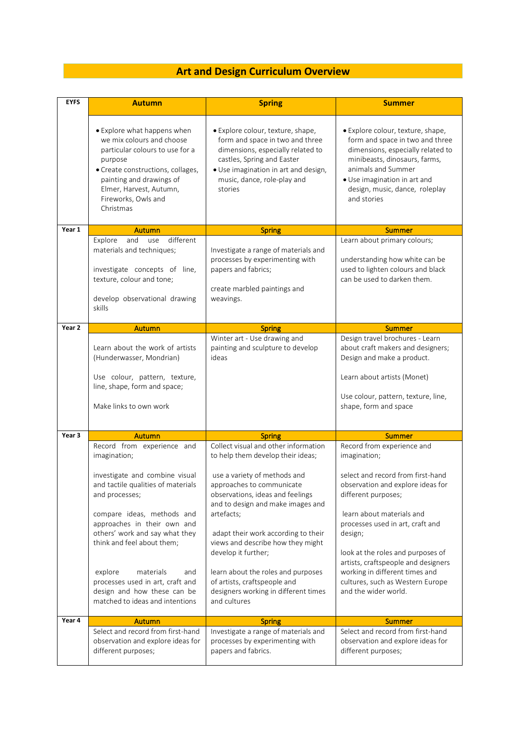# **Art and Design Curriculum Overview**

| <b>EYFS</b> | <b>Autumn</b>                                                                                                                                                                                                                                                                                    | <b>Spring</b>                                                                                                                                                                                                                                                                                                                                                          | <b>Summer</b>                                                                                                                                                                                                                                                                                                                         |
|-------------|--------------------------------------------------------------------------------------------------------------------------------------------------------------------------------------------------------------------------------------------------------------------------------------------------|------------------------------------------------------------------------------------------------------------------------------------------------------------------------------------------------------------------------------------------------------------------------------------------------------------------------------------------------------------------------|---------------------------------------------------------------------------------------------------------------------------------------------------------------------------------------------------------------------------------------------------------------------------------------------------------------------------------------|
|             | • Explore what happens when<br>we mix colours and choose<br>particular colours to use for a<br>purpose<br>• Create constructions, collages,<br>painting and drawings of<br>Elmer, Harvest, Autumn,<br>Fireworks, Owls and<br>Christmas                                                           | • Explore colour, texture, shape,<br>form and space in two and three<br>dimensions, especially related to<br>castles, Spring and Easter<br>· Use imagination in art and design,<br>music, dance, role-play and<br>stories                                                                                                                                              | • Explore colour, texture, shape,<br>form and space in two and three<br>dimensions, especially related to<br>minibeasts, dinosaurs, farms,<br>animals and Summer<br>• Use imagination in art and<br>design, music, dance, roleplay<br>and stories                                                                                     |
| Year 1      | <b>Autumn</b>                                                                                                                                                                                                                                                                                    | <b>Spring</b>                                                                                                                                                                                                                                                                                                                                                          | <b>Summer</b>                                                                                                                                                                                                                                                                                                                         |
|             | and<br>different<br>Explore<br>use<br>materials and techniques;<br>investigate concepts of line,<br>texture, colour and tone;<br>develop observational drawing<br>skills                                                                                                                         | Investigate a range of materials and<br>processes by experimenting with<br>papers and fabrics;<br>create marbled paintings and<br>weavings.                                                                                                                                                                                                                            | Learn about primary colours;<br>understanding how white can be<br>used to lighten colours and black<br>can be used to darken them.                                                                                                                                                                                                    |
| Year 2      | <b>Autumn</b>                                                                                                                                                                                                                                                                                    | <b>Spring</b>                                                                                                                                                                                                                                                                                                                                                          | <b>Summer</b>                                                                                                                                                                                                                                                                                                                         |
|             | Learn about the work of artists<br>(Hunderwasser, Mondrian)<br>Use colour, pattern, texture,<br>line, shape, form and space;<br>Make links to own work                                                                                                                                           | Winter art - Use drawing and<br>painting and sculpture to develop<br>ideas                                                                                                                                                                                                                                                                                             | Design travel brochures - Learn<br>about craft makers and designers;<br>Design and make a product.<br>Learn about artists (Monet)<br>Use colour, pattern, texture, line,<br>shape, form and space                                                                                                                                     |
| Year 3      | <b>Autumn</b>                                                                                                                                                                                                                                                                                    | <b>Spring</b>                                                                                                                                                                                                                                                                                                                                                          | <b>Summer</b>                                                                                                                                                                                                                                                                                                                         |
|             | Record from experience and<br>imagination;<br>investigate and combine visual<br>and tactile qualities of materials<br>and processes;<br>compare ideas, methods and<br>approaches in their own and<br>others' work and say what they<br>think and feel about them;<br>explore<br>materials<br>and | Collect visual and other information<br>to help them develop their ideas;<br>use a variety of methods and<br>approaches to communicate<br>observations, ideas and feelings<br>and to design and make images and<br>artefacts;<br>adapt their work according to their<br>views and describe how they might<br>develop it further;<br>learn about the roles and purposes | Record from experience and<br>imagination;<br>select and record from first-hand<br>observation and explore ideas for<br>different purposes;<br>learn about materials and<br>processes used in art, craft and<br>design;<br>look at the roles and purposes of<br>artists, craftspeople and designers<br>working in different times and |
|             | processes used in art, craft and<br>design and how these can be<br>matched to ideas and intentions                                                                                                                                                                                               | of artists, craftspeople and<br>designers working in different times<br>and cultures                                                                                                                                                                                                                                                                                   | cultures, such as Western Europe<br>and the wider world.                                                                                                                                                                                                                                                                              |
| Year 4      | Autumn                                                                                                                                                                                                                                                                                           | <b>Spring</b>                                                                                                                                                                                                                                                                                                                                                          | <b>Summer</b>                                                                                                                                                                                                                                                                                                                         |
|             | Select and record from first-hand<br>observation and explore ideas for<br>different purposes;                                                                                                                                                                                                    | Investigate a range of materials and<br>processes by experimenting with<br>papers and fabrics.                                                                                                                                                                                                                                                                         | Select and record from first-hand<br>observation and explore ideas for<br>different purposes;                                                                                                                                                                                                                                         |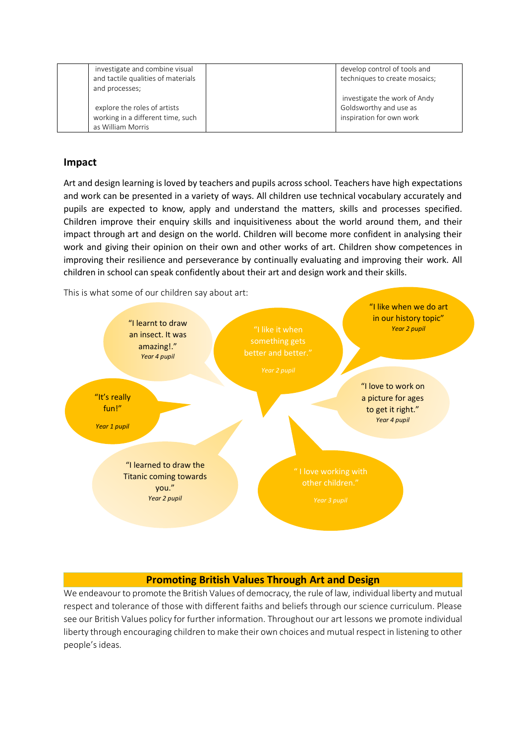| investigate and combine visual<br>and tactile qualities of materials | develop control of tools and<br>techniques to create mosaics; |
|----------------------------------------------------------------------|---------------------------------------------------------------|
| and processes;                                                       |                                                               |
|                                                                      | investigate the work of Andy                                  |
| explore the roles of artists                                         | Goldsworthy and use as                                        |
| working in a different time, such                                    | inspiration for own work                                      |
| as William Morris                                                    |                                                               |

# **Impact**

Art and design learning is loved by teachers and pupils across school. Teachers have high expectations and work can be presented in a variety of ways. All children use technical vocabulary accurately and pupils are expected to know, apply and understand the matters, skills and processes specified. Children improve their enquiry skills and inquisitiveness about the world around them, and their impact through art and design on the world. Children will become more confident in analysing their work and giving their opinion on their own and other works of art. Children show competences in improving their resilience and perseverance by continually evaluating and improving their work. All children in school can speak confidently about their art and design work and their skills.

This is what some of our children say about art:



# **Promoting British Values Through Art and Design**

We endeavour to promote the British Values of democracy, the rule of law, individual liberty and mutual respect and tolerance of those with different faiths and beliefs through our science curriculum. Please see our British Values policy for further information. Throughout our art lessons we promote individual liberty through encouraging children to make their own choices and mutual respect in listening to other people's ideas.